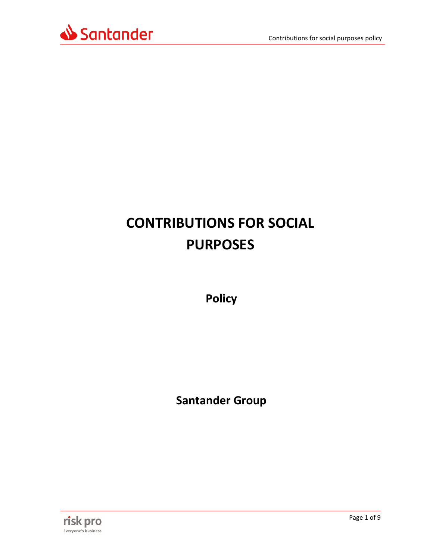

# **CONTRIBUTIONS FOR SOCIAL PURPOSES**

**Policy**

**Santander Group**

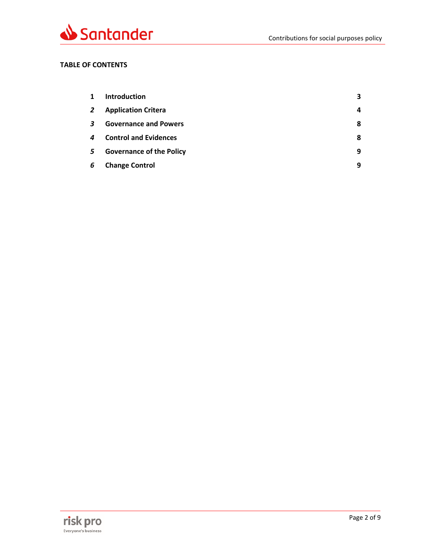

# **TABLE OF CONTENTS**

| 1            | <b>Introduction</b>             | 3 |
|--------------|---------------------------------|---|
| $\mathbf{2}$ | <b>Application Critera</b>      | 4 |
| 3            | <b>Governance and Powers</b>    | 8 |
| 4            | <b>Control and Evidences</b>    | 8 |
| 5            | <b>Governance of the Policy</b> | 9 |
| 6            | <b>Change Control</b>           | 9 |

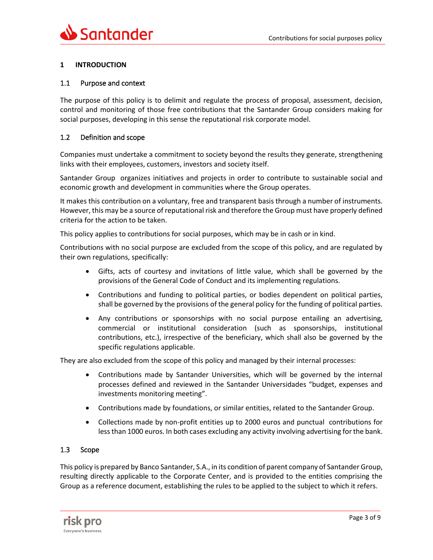# <span id="page-2-0"></span>**1 INTRODUCTION**

## 1.1 Purpose and context

The purpose of this policy is to delimit and regulate the process of proposal, assessment, decision, control and monitoring of those free contributions that the Santander Group considers making for social purposes, developing in this sense the reputational risk corporate model.

## 1.2 Definition and scope

Companies must undertake a commitment to society beyond the results they generate, strengthening links with their employees, customers, investors and society itself.

Santander Group organizes initiatives and projects in order to contribute to sustainable social and economic growth and development in communities where the Group operates.

It makes this contribution on a voluntary, free and transparent basis through a number of instruments. However, this may be a source of reputational risk and therefore the Group must have properly defined criteria for the action to be taken.

This policy applies to contributions for social purposes, which may be in cash or in kind.

Contributions with no social purpose are excluded from the scope of this policy, and are regulated by their own regulations, specifically:

- Gifts, acts of courtesy and invitations of little value, which shall be governed by the provisions of the General Code of Conduct and its implementing regulations.
- Contributions and funding to political parties, or bodies dependent on political parties, shall be governed by the provisions of the general policy for the funding of political parties.
- Any contributions or sponsorships with no social purpose entailing an advertising, commercial or institutional consideration (such as sponsorships, institutional contributions, etc.), irrespective of the beneficiary, which shall also be governed by the specific regulations applicable.

They are also excluded from the scope of this policy and managed by their internal processes:

- Contributions made by Santander Universities, which will be governed by the internal processes defined and reviewed in the Santander Universidades "budget, expenses and investments monitoring meeting".
- Contributions made by foundations, or similar entities, related to the Santander Group.
- Collections made by non-profit entities up to 2000 euros and punctual contributions for less than 1000 euros. In both cases excluding any activity involving advertising for the bank.

# 1.3 Scope

This policy is prepared by Banco Santander, S.A., in its condition of parent company of Santander Group, resulting directly applicable to the Corporate Center, and is provided to the entities comprising the Group as a reference document, establishing the rules to be applied to the subject to which it refers.

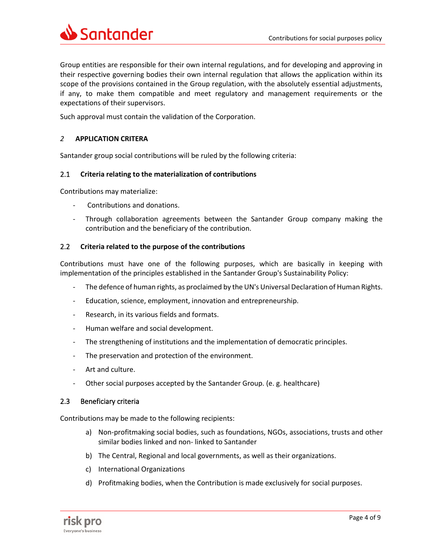

Group entities are responsible for their own internal regulations, and for developing and approving in their respective governing bodies their own internal regulation that allows the application within its scope of the provisions contained in the Group regulation, with the absolutely essential adjustments, if any, to make them compatible and meet regulatory and management requirements or the expectations of their supervisors.

Such approval must contain the validation of the Corporation.

# <span id="page-3-0"></span>*2* **APPLICATION CRITERA**

Santander group social contributions will be ruled by the following criteria:

# 2.1 **Criteria relating to the materialization of contributions**

Contributions may materialize:

- Contributions and donations.
- Through collaboration agreements between the Santander Group company making the contribution and the beneficiary of the contribution.

# 2.2 **Criteria related to the purpose of the contributions**

Contributions must have one of the following purposes, which are basically in keeping with implementation of the principles established in the Santander Group's Sustainability Policy:

- The defence of human rights, as proclaimed by the UN's Universal Declaration of Human Rights.
- Education, science, employment, innovation and entrepreneurship.
- Research, in its various fields and formats.
- Human welfare and social development.
- The strengthening of institutions and the implementation of democratic principles.
- The preservation and protection of the environment.
- Art and culture.
- Other social purposes accepted by the Santander Group. (e. g. healthcare)

#### 2.3 Beneficiary criteria

Contributions may be made to the following recipients:

- a) Non-profitmaking social bodies, such as foundations, NGOs, associations, trusts and other similar bodies linked and non- linked to Santander
- b) The Central, Regional and local governments, as well as their organizations.
- c) International Organizations
- d) Profitmaking bodies, when the Contribution is made exclusively for social purposes.

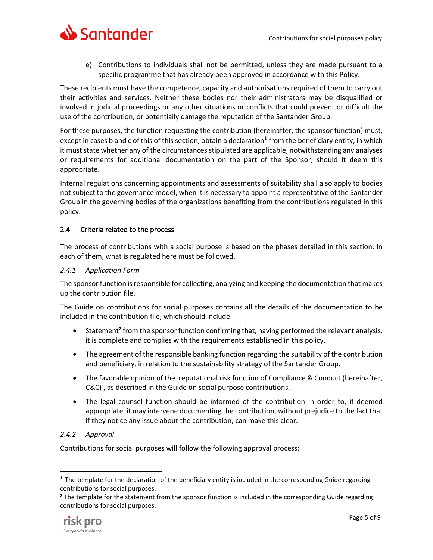

e) Contributions to individuals shall not be permitted, unless they are made pursuant to a specific programme that has already been approved in accordance with this Policy.

These recipients must have the competence, capacity and authorisations required of them to carry out their activities and services. Neither these bodies nor their administrators may be disqualified or involved in judicial proceedings or any other situations or conflicts that could prevent or difficult the use of the contribution, or potentially damage the reputation of the Santander Group.

For these purposes, the function requesting the contribution (hereinafter, the sponsor function) must, except in cases b and c of this of this section, obtain a declaration**<sup>1</sup>** from the beneficiary entity, in which it must state whether any of the circumstances stipulated are applicable, notwithstanding any analyses or requirements for additional documentation on the part of the Sponsor, should it deem this appropriate.

Internal regulations concerning appointments and assessments of suitability shall also apply to bodies not subject to the governance model, when it is necessary to appoint a representative of the Santander Group in the governing bodies of the organizations benefiting from the contributions regulated in this policy.

# 2.4 Criteria related to the process

The process of contributions with a social purpose is based on the phases detailed in this section. In each of them, what is regulated here must be followed.

# *2.4.1 Application Form*

The sponsor function is responsible for collecting, analyzing and keeping the documentation that makes up the contribution file.

The Guide on contributions for social purposes contains all the details of the documentation to be included in the contribution file, which should include:

- Statement**<sup>2</sup>** from the sponsor function confirming that, having performed the relevant analysis, it is complete and complies with the requirements established in this policy.
- The agreement of the responsible banking function regarding the suitability of the contribution and beneficiary, in relation to the sustainability strategy of the Santander Group.
- The favorable opinion of the reputational risk function of Compliance & Conduct (hereinafter, C&C) , as described in the Guide on social purpose contributions.
- The legal counsel function should be informed of the contribution in order to, if deemed appropriate, it may intervene documenting the contribution, without prejudice to the fact that if they notice any issue about the contribution, can make this clear.

# *2.4.2 Approval*

Contributions for social purposes will follow the following approval process:

**<sup>2</sup>** The template for the statement from the sponsor function is included in the corresponding Guide regarding contributions for social purposes.



**<sup>1</sup>** The template for the declaration of the beneficiary entity is included in the corresponding Guide regarding contributions for social purposes.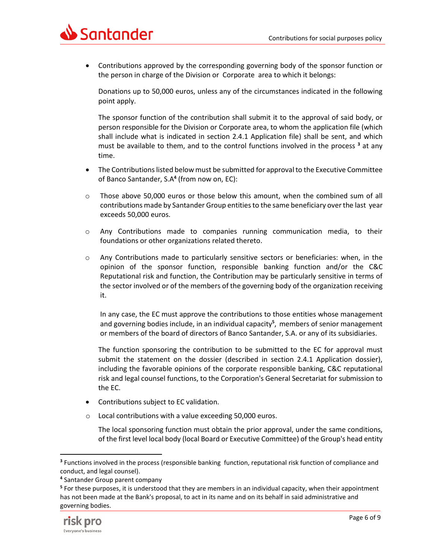

• Contributions approved by the corresponding governing body of the sponsor function or the person in charge of the Division or Corporate area to which it belongs:

Donations up to 50,000 euros, unless any of the circumstances indicated in the following point apply.

The sponsor function of the contribution shall submit it to the approval of said body, or person responsible for the Division or Corporate area, to whom the application file (which shall include what is indicated in section 2.4.1 Application file) shall be sent, and which must be available to them, and to the control functions involved in the process **<sup>3</sup>** at any time.

- The Contributions listed below must be submitted for approval to the Executive Committee of Banco Santander, S.A**<sup>4</sup>** (from now on, EC):
- o Those above 50,000 euros or those below this amount, when the combined sum of all contributions made by Santander Group entitiesto the same beneficiary over the last year exceeds 50,000 euros.
- o Any Contributions made to companies running communication media, to their foundations or other organizations related thereto.
- $\circ$  Any Contributions made to particularly sensitive sectors or beneficiaries: when, in the opinion of the sponsor function, responsible banking function and/or the C&C Reputational risk and function, the Contribution may be particularly sensitive in terms of the sector involved or of the members of the governing body of the organization receiving it.

In any case, the EC must approve the contributions to those entities whose management and governing bodies include, in an individual capacity**<sup>5</sup>** , members of senior management or members of the board of directors of Banco Santander, S.A. or any of its subsidiaries.

The function sponsoring the contribution to be submitted to the EC for approval must submit the statement on the dossier (described in section 2.4.1 Application dossier), including the favorable opinions of the corporate responsible banking, C&C reputational risk and legal counsel functions, to the Corporation's General Secretariat for submission to the EC.

- Contributions subject to EC validation.
- o Local contributions with a value exceeding 50,000 euros.

The local sponsoring function must obtain the prior approval, under the same conditions, of the first level local body (local Board or Executive Committee) of the Group's head entity

**<sup>5</sup>** For these purposes, it is understood that they are members in an individual capacity, when their appointment has not been made at the Bank's proposal, to act in its name and on its behalf in said administrative and governing bodies.



**<sup>3</sup>** Functions involved in the process (responsible banking function, reputational risk function of compliance and conduct, and legal counsel).

**<sup>4</sup>** Santander Group parent company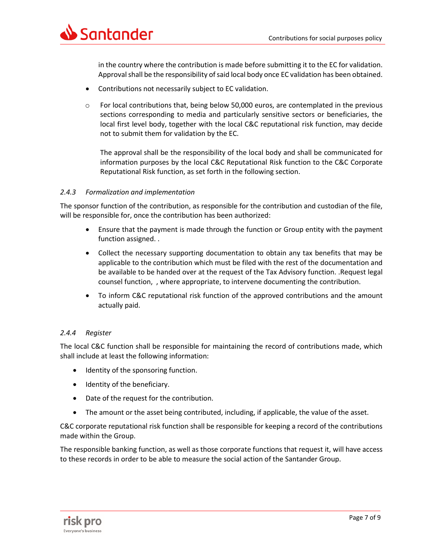

in the country where the contribution is made before submitting it to the EC for validation. Approval shall be the responsibility of said local body once EC validation has been obtained.

- Contributions not necessarily subject to EC validation.
- o For local contributions that, being below 50,000 euros, are contemplated in the previous sections corresponding to media and particularly sensitive sectors or beneficiaries, the local first level body, together with the local C&C reputational risk function, may decide not to submit them for validation by the EC.

The approval shall be the responsibility of the local body and shall be communicated for information purposes by the local C&C Reputational Risk function to the C&C Corporate Reputational Risk function, as set forth in the following section.

# *2.4.3 Formalization and implementation*

The sponsor function of the contribution, as responsible for the contribution and custodian of the file, will be responsible for, once the contribution has been authorized:

- Ensure that the payment is made through the function or Group entity with the payment function assigned. .
- Collect the necessary supporting documentation to obtain any tax benefits that may be applicable to the contribution which must be filed with the rest of the documentation and be available to be handed over at the request of the Tax Advisory function. .Request legal counsel function, , where appropriate, to intervene documenting the contribution.
- To inform C&C reputational risk function of the approved contributions and the amount actually paid.

# *2.4.4 Register*

The local C&C function shall be responsible for maintaining the record of contributions made, which shall include at least the following information:

- Identity of the sponsoring function.
- Identity of the beneficiary.
- Date of the request for the contribution.
- The amount or the asset being contributed, including, if applicable, the value of the asset.

C&C corporate reputational risk function shall be responsible for keeping a record of the contributions made within the Group.

The responsible banking function, as well as those corporate functions that request it, will have access to these records in order to be able to measure the social action of the Santander Group.

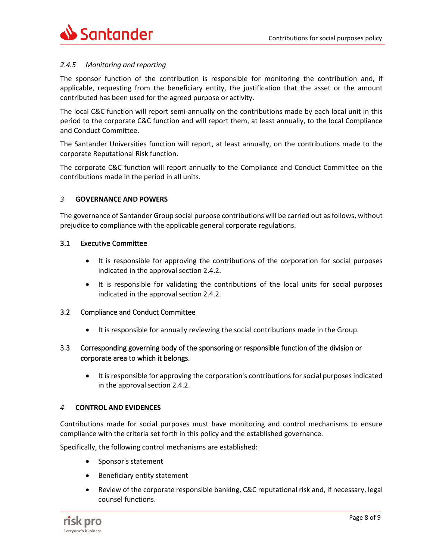# *2.4.5 Monitoring and reporting*

The sponsor function of the contribution is responsible for monitoring the contribution and, if applicable, requesting from the beneficiary entity, the justification that the asset or the amount contributed has been used for the agreed purpose or activity.

The local C&C function will report semi-annually on the contributions made by each local unit in this period to the corporate C&C function and will report them, at least annually, to the local Compliance and Conduct Committee.

The Santander Universities function will report, at least annually, on the contributions made to the corporate Reputational Risk function.

The corporate C&C function will report annually to the Compliance and Conduct Committee on the contributions made in the period in all units.

#### <span id="page-7-0"></span>*3* **GOVERNANCE AND POWERS**

The governance of Santander Group social purpose contributions will be carried out as follows, without prejudice to compliance with the applicable general corporate regulations.

#### 3.1 Executive Committee

- It is responsible for approving the contributions of the corporation for social purposes indicated in the approval section 2.4.2.
- It is responsible for validating the contributions of the local units for social purposes indicated in the approval section 2.4.2.

#### 3.2 Compliance and Conduct Committee

It is responsible for annually reviewing the social contributions made in the Group.

# 3.3 Corresponding governing body of the sponsoring or responsible function of the division or corporate area to which it belongs.

• It is responsible for approving the corporation's contributions for social purposes indicated in the approval section 2.4.2.

#### <span id="page-7-1"></span>*4* **CONTROL AND EVIDENCES**

Contributions made for social purposes must have monitoring and control mechanisms to ensure compliance with the criteria set forth in this policy and the established governance.

Specifically, the following control mechanisms are established:

- Sponsor's statement
- Beneficiary entity statement
- Review of the corporate responsible banking, C&C reputational risk and, if necessary, legal counsel functions.